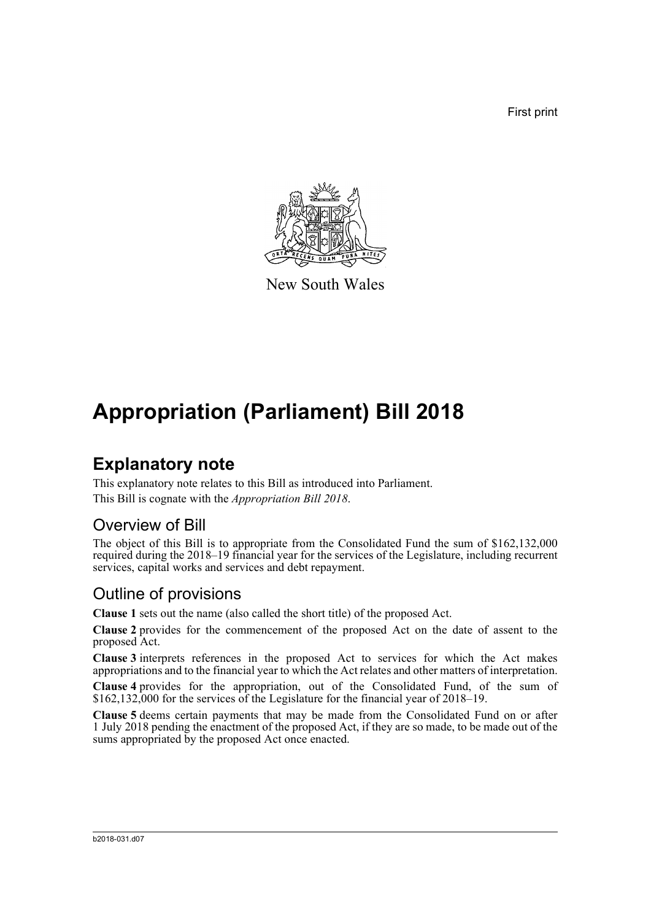First print



New South Wales

# **Appropriation (Parliament) Bill 2018**

### **Explanatory note**

This explanatory note relates to this Bill as introduced into Parliament. This Bill is cognate with the *Appropriation Bill 2018*.

#### Overview of Bill

The object of this Bill is to appropriate from the Consolidated Fund the sum of \$162,132,000 required during the 2018–19 financial year for the services of the Legislature, including recurrent services, capital works and services and debt repayment.

#### Outline of provisions

**Clause 1** sets out the name (also called the short title) of the proposed Act.

**Clause 2** provides for the commencement of the proposed Act on the date of assent to the proposed Act.

**Clause 3** interprets references in the proposed Act to services for which the Act makes appropriations and to the financial year to which the Act relates and other matters of interpretation.

**Clause 4** provides for the appropriation, out of the Consolidated Fund, of the sum of \$162,132,000 for the services of the Legislature for the financial year of 2018–19.

**Clause 5** deems certain payments that may be made from the Consolidated Fund on or after 1 July 2018 pending the enactment of the proposed Act, if they are so made, to be made out of the sums appropriated by the proposed Act once enacted.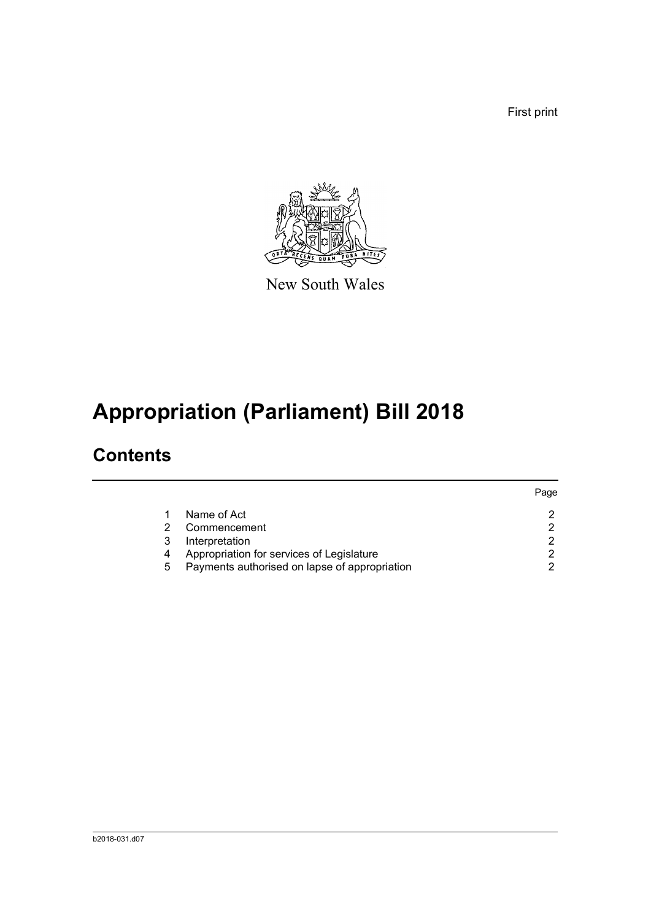First print



New South Wales

# **Appropriation (Parliament) Bill 2018**

## **Contents**

|   |                                               | Page |
|---|-----------------------------------------------|------|
|   | Name of Act                                   |      |
| 2 | Commencement                                  |      |
| 3 | Interpretation                                | ◠    |
| 4 | Appropriation for services of Legislature     |      |
| 5 | Payments authorised on lapse of appropriation |      |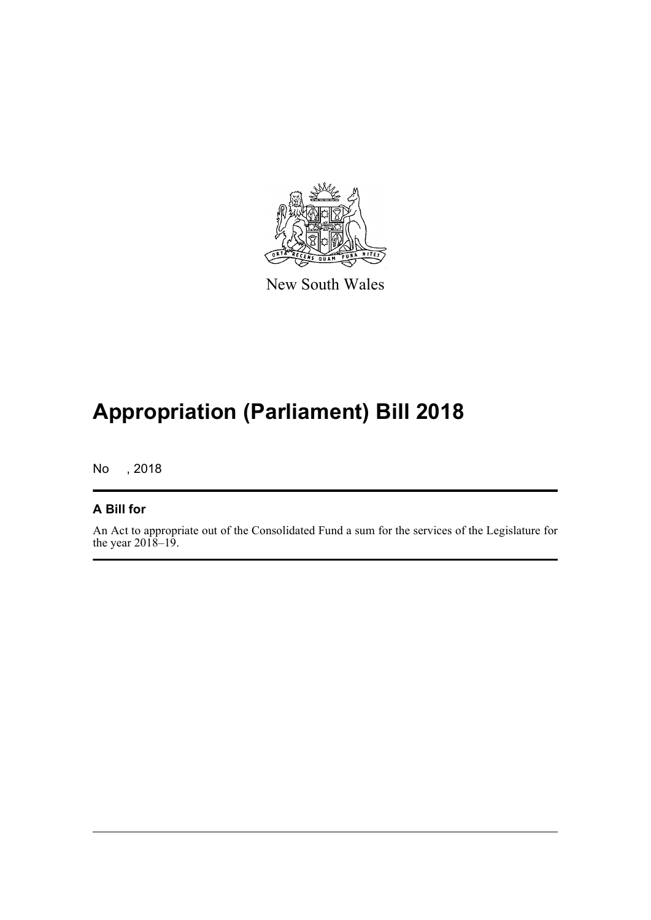

New South Wales

## **Appropriation (Parliament) Bill 2018**

No , 2018

#### **A Bill for**

An Act to appropriate out of the Consolidated Fund a sum for the services of the Legislature for the year  $2018-19$ .